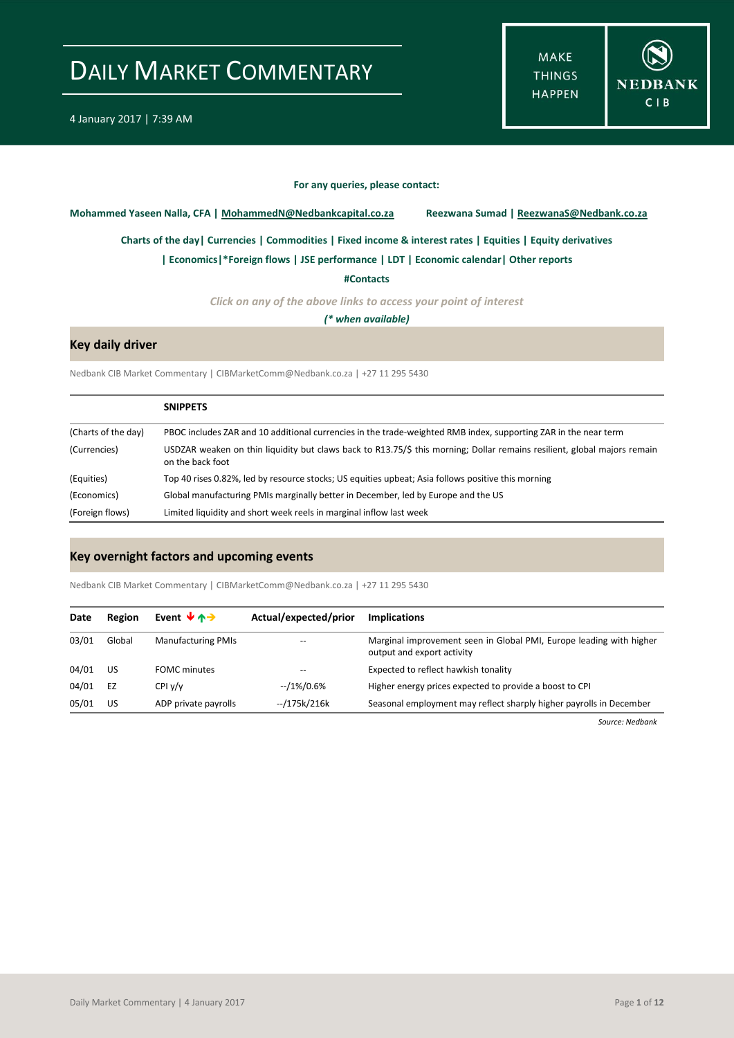**MAKE THINGS HAPPEN** 



#### **For any queries, please contact:**

<span id="page-0-0"></span>**Mohammed Yaseen Nalla, CFA | MohammedN@Nedbankcapital.co.za Reezwana Sumad | ReezwanaS@Nedbank.co.za**

**[Charts of the day|](#page-1-0) [Currencies](#page-2-0) [| Commodities](#page-3-0) | [Fixed income & interest rates](#page-4-0) [| Equities](#page-5-0) | Equity derivatives**

**[| Economics|](#page-6-0)[\\*Foreign flows](#page-7-0) | [JSE performance](#page-8-0) [| LDT](#page-9-0) [| Economic calendar|](#page-9-1) Other reports** 

**[#Contacts](#page-10-0)**

*Click on any of the above links to access your point of interest*

*(\* when available)*

#### **Key daily driver**

Nedbank CIB Market Commentary | CIBMarketComm@Nedbank.co.za | +27 11 295 5430

|                     | <b>SNIPPETS</b>                                                                                                                              |
|---------------------|----------------------------------------------------------------------------------------------------------------------------------------------|
| (Charts of the day) | PBOC includes ZAR and 10 additional currencies in the trade-weighted RMB index, supporting ZAR in the near term                              |
| (Currencies)        | USDZAR weaken on thin liquidity but claws back to R13.75/\$ this morning; Dollar remains resilient, global majors remain<br>on the back foot |
| (Equities)          | Top 40 rises 0.82%, led by resource stocks; US equities upbeat; Asia follows positive this morning                                           |
| (Economics)         | Global manufacturing PMIs marginally better in December, led by Europe and the US                                                            |
| (Foreign flows)     | Limited liquidity and short week reels in marginal inflow last week                                                                          |

#### **Key overnight factors and upcoming events**

Nedbank CIB Market Commentary | CIBMarketComm@Nedbank.co.za | +27 11 295 5430

| Date  | Region | Event $\forall$ $\land \rightarrow$ | Actual/expected/prior | <b>Implications</b>                                                                               |
|-------|--------|-------------------------------------|-----------------------|---------------------------------------------------------------------------------------------------|
| 03/01 | Global | <b>Manufacturing PMIs</b>           | $-$                   | Marginal improvement seen in Global PMI, Europe leading with higher<br>output and export activity |
| 04/01 | US     | <b>FOMC</b> minutes                 | --                    | Expected to reflect hawkish tonality                                                              |
| 04/01 | EZ     | CPIV/v                              | --/1%/0.6%            | Higher energy prices expected to provide a boost to CPI                                           |
| 05/01 | US     | ADP private payrolls                | --/175k/216k          | Seasonal employment may reflect sharply higher payrolls in December                               |

*Source: Nedbank*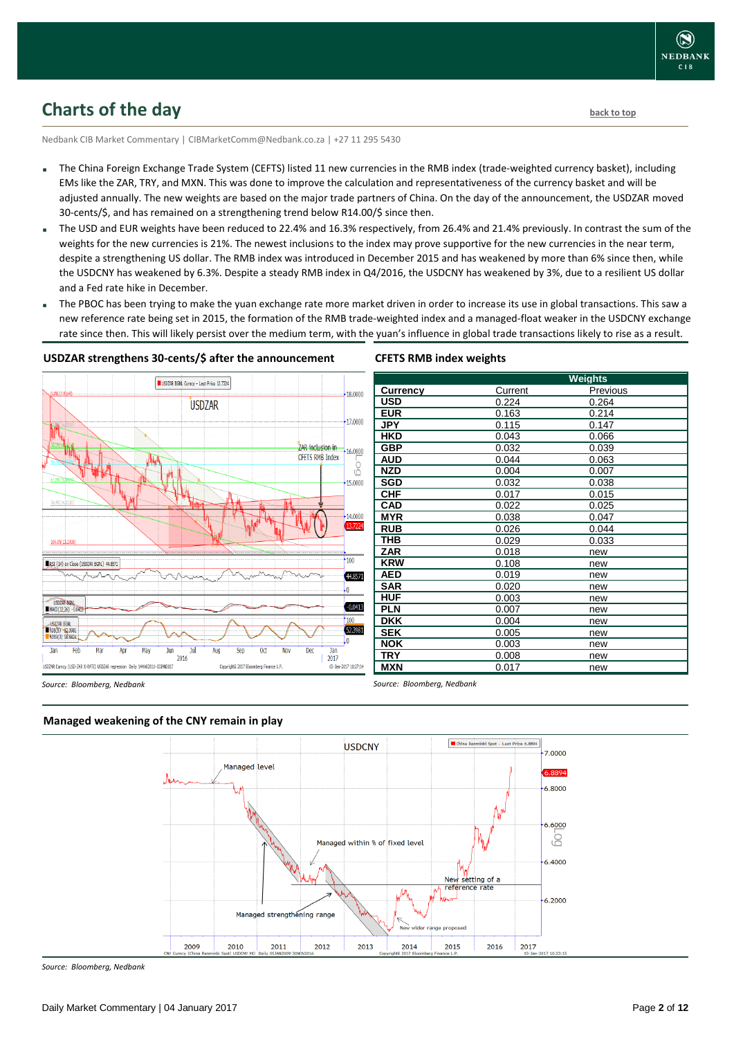### <span id="page-1-0"></span>**Charts of the day** [back to top](#page-0-0) **back to top**

Nedbank CIB Market Commentary | CIBMarketComm@Nedbank.co.za | +27 11 295 5430

- The China Foreign Exchange Trade System (CEFTS) listed 11 new currencies in the RMB index (trade-weighted currency basket), including EMs like the ZAR, TRY, and MXN. This was done to improve the calculation and representativeness of the currency basket and will be adjusted annually. The new weights are based on the major trade partners of China. On the day of the announcement, the USDZAR moved 30-cents/\$, and has remained on a strengthening trend below R14.00/\$ since then.
- The USD and EUR weights have been reduced to 22.4% and 16.3% respectively, from 26.4% and 21.4% previously. In contrast the sum of the weights for the new currencies is 21%. The newest inclusions to the index may prove supportive for the new currencies in the near term, despite a strengthening US dollar. The RMB index was introduced in December 2015 and has weakened by more than 6% since then, while the USDCNY has weakened by 6.3%. Despite a steady RMB index in Q4/2016, the USDCNY has weakened by 3%, due to a resilient US dollar and a Fed rate hike in December.
- The PBOC has been trying to make the yuan exchange rate more market driven in order to increase its use in global transactions. This saw a new reference rate being set in 2015, the formation of the RMB trade-weighted index and a managed-float weaker in the USDCNY exchange rate since then. This will likely persist over the medium term, with the yuan's influence in global trade transactions likely to rise as a result.

**CFETS RMB index weights**



#### **USDZAR strengthens 30-cents/\$ after the announcement**

#### **Weights Currency** Current Previous<br> **USD** 0.224 0.264 **USD** 0.224 0.264 **EUR** 0.163 0.214 **JPY** 0.115 0.147<br> **HKD** 0.043 0.066 **HKD** 0.043 0.066 **GBP** 0.032 0.039 **AUD** 0.044 0.063<br> **NZD** 0.004 0.007 **NZD** 0.004 0.007 **SGD** 0.032 0.038 **CHF** 0.017 0.015<br>**CAD** 0.022 0.025 **CAD** 0.022 0.025 **MYR** 0.038 0.047 **RUB** 0.026 0.044<br> **THB** 0.029 0.033 **THB** 0.029 0.033 **ZAR** 0.018 new **KRW** 0.108 new **AED** 0.019 new **SAR** 0.020 new **HUF** 0.003 new **PLN** 0.007 new **DKK** 0.004 new **SEK** 0.005 new **NOK** 0.003 new **TRY** 0.008 new **MXN** 0.017 new

*Source: Bloomberg, Nedbank*

*Source: Bloomberg, Nedbank*



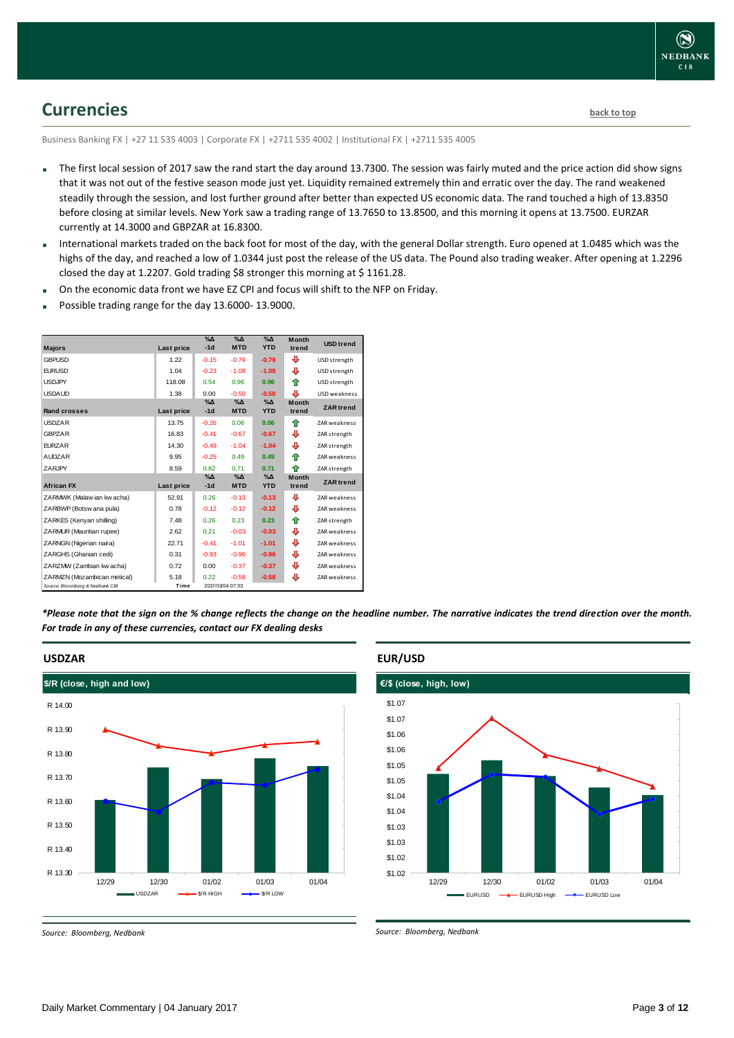

### <span id="page-2-0"></span>**Currencies [back to top](#page-0-0)**

Business Banking FX | +27 11 535 4003 | Corporate FX | +2711 535 4002 | Institutional FX | +2711 535 4005

- The first local session of 2017 saw the rand start the day around 13.7300. The session was fairly muted and the price action did show signs that it was not out of the festive season mode just yet. Liquidity remained extremely thin and erratic over the day. The rand weakened steadily through the session, and lost further ground after better than expected US economic data. The rand touched a high of 13.8350 before closing at similar levels. New York saw a trading range of 13.7650 to 13.8500, and this morning it opens at 13.7500. EURZAR currently at 14.3000 and GBPZAR at 16.8300.
- International markets traded on the back foot for most of the day, with the general Dollar strength. Euro opened at 1.0485 which was the highs of the day, and reached a low of 1.0344 just post the release of the US data. The Pound also trading weaker. After opening at 1.2296 closed the day at 1.2207. Gold trading \$8 stronger this morning at \$1161.28.
- On the economic data front we have EZ CPI and focus will shift to the NFP on Friday.
- Possible trading range for the day 13.6000- 13.9000.

|                                 |            | $\%$ $\Delta$          | $\sqrt{\Delta}$           | $\%$ $\Delta$               | <b>Month</b>          |                     |
|---------------------------------|------------|------------------------|---------------------------|-----------------------------|-----------------------|---------------------|
| <b>Majors</b>                   | Last price | $-1d$                  | <b>MTD</b>                | <b>YTD</b>                  | trend                 | <b>USD trend</b>    |
| <b>GBPUSD</b>                   | 1.22       | $-0.15$                | $-0.79$                   | $-0.79$                     | ⊕                     | USD strength        |
| <b>FURUSD</b>                   | 1.04       | $-0.23$                | $-1.08$                   | $-1.08$                     | ⊕                     | USD strength        |
| <b>USDJPY</b>                   | 118.08     | 0.54                   | 0.96                      | 0.96                        | 全                     | USD strength        |
| <b>USDAUD</b>                   | 1.38       | 0.00                   | $-0.50$                   | $-0.50$                     | ⊕                     | <b>USD</b> weakness |
| <b>Rand crosses</b>             | Last price | $\%$ $\Delta$<br>$-1d$ | $\% \Delta$<br><b>MTD</b> | $\%$ $\Delta$<br><b>YTD</b> | <b>Month</b><br>trend | <b>ZAR</b> trend    |
| <b>USDZAR</b>                   | 13.75      | $-0.26$                | 0.06                      | 0.06                        | ♠                     | <b>ZAR weakness</b> |
| <b>GBPZAR</b>                   | 16.83      | $-0.41$                | $-0.67$                   | $-0.67$                     | ⊕                     | ZAR strength        |
| <b>EURZAR</b>                   | 14.30      | $-0.49$                | $-1.04$                   | $-1.04$                     | ⊕                     | ZAR strength        |
| <b>AUDZAR</b>                   | 9.95       | $-0.25$                | 0.49                      | 0.49                        | ⇑                     | <b>ZAR</b> weakness |
| ZARJPY                          | 8.59       | 0.82                   | 0.71                      | 0.71                        | ♠                     | ZAR strength        |
|                                 |            | $\%$ $\Delta$          | $\%$ $\Delta$             | $\% \Delta$                 | <b>Month</b>          | <b>ZAR</b> trend    |
| <b>African FX</b>               | Last price | $-1d$                  | <b>MTD</b>                | <b>YTD</b>                  | trend                 |                     |
| ZARMWK (Malaw ian kw acha)      | 52.91      | 0.26                   | $-0.13$                   | $-0.13$                     | ⊕                     | <b>ZAR</b> weakness |
| ZARBWP (Botsw ana pula)         | 0.78       | $-0.12$                | $-0.12$                   | $-0.12$                     | ⊕                     | <b>ZAR</b> weakness |
| ZARKES (Kenyan shilling)        | 7.48       | 0.26                   | 0.23                      | 0.23                        | ⇑                     | ZAR strength        |
| ZARMUR (Mauritian rupee)        | 2.62       | 0.21                   | $-0.03$                   | $-0.03$                     | ⊕                     | ZAR weakness        |
| ZARNGN (Nigerian naira)         | 22.71      | $-0.41$                | $-1.01$                   | $-1.01$                     | ⊕                     | <b>ZAR weakness</b> |
| ZARGHS (Ghanian cedi)           | 0.31       | $-0.93$                | $-0.96$                   | $-0.96$                     | ⊕                     | <b>ZAR weakness</b> |
| ZARZMW (Zambian kw acha)        | 0.72       | 0.00                   | $-0.37$                   | $-0.37$                     | ⊕                     | <b>ZAR weakness</b> |
| ZARMZN (Mozambican metical)     | 5.18       | 0.22                   | $-0.58$                   | $-0.58$                     | ⊕                     | ZAR weakness        |
| Source: Bloomberg & Nedbank CIB | Time       |                        | 2017/01/04 07:33          |                             |                       |                     |

*\*Please note that the sign on the % change reflects the change on the headline number. The narrative indicates the trend direction over the month. For trade in any of these currencies, contact our FX dealing desks*



#### **USDZAR**

*Source: Bloomberg, Nedbank*

#### **EUR/USD**

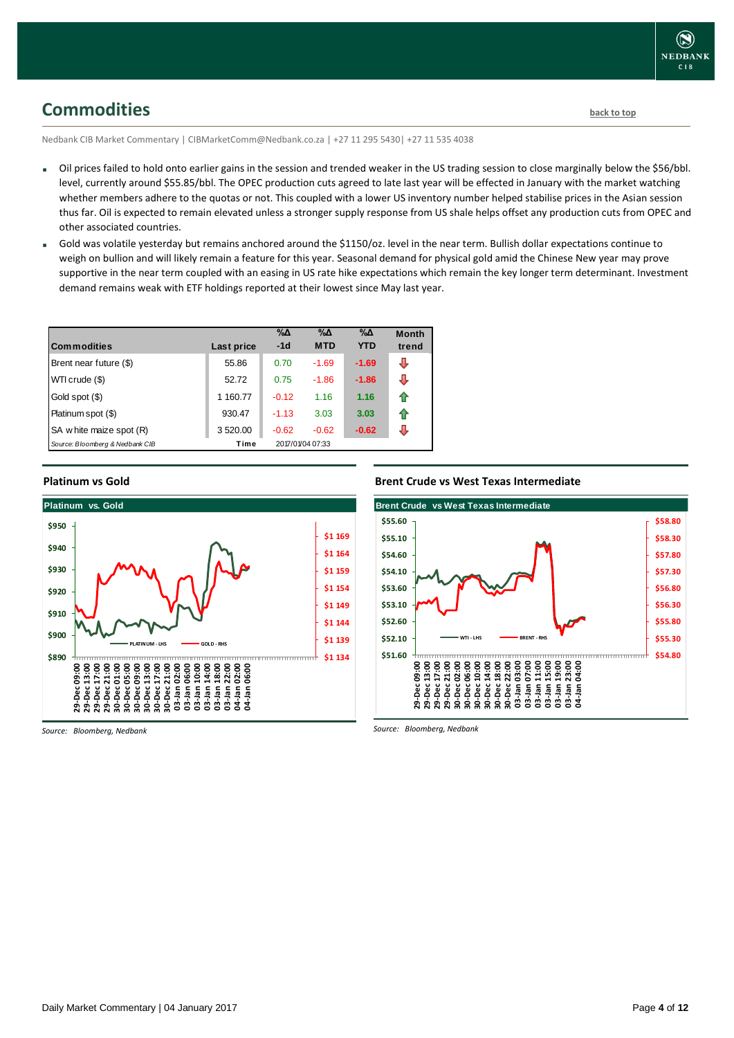### <span id="page-3-0"></span>**Commodities [back to top](#page-0-0)**

Nedbank CIB Market Commentary | CIBMarketComm@Nedbank.co.za | +27 11 295 5430| +27 11 535 4038

- Oil prices failed to hold onto earlier gains in the session and trended weaker in the US trading session to close marginally below the \$56/bbl. level, currently around \$55.85/bbl. The OPEC production cuts agreed to late last year will be effected in January with the market watching whether members adhere to the quotas or not. This coupled with a lower US inventory number helped stabilise prices in the Asian session thus far. Oil is expected to remain elevated unless a stronger supply response from US shale helps offset any production cuts from OPEC and other associated countries.
- Gold was volatile yesterday but remains anchored around the \$1150/oz. level in the near term. Bullish dollar expectations continue to weigh on bullion and will likely remain a feature for this year. Seasonal demand for physical gold amid the Chinese New year may prove supportive in the near term coupled with an easing in US rate hike expectations which remain the key longer term determinant. Investment demand remains weak with ETF holdings reported at their lowest since May last year.

| <b>Commodities</b>              | Last price | $\% \Delta$<br>$-1d$ | $\% \Delta$<br><b>MTD</b> | $\% \Delta$<br><b>YTD</b> | <b>Month</b><br>trend |
|---------------------------------|------------|----------------------|---------------------------|---------------------------|-----------------------|
| Brent near future (\$)          | 55.86      | 0.70                 | $-1.69$                   | $-1.69$                   | J                     |
| WTI crude (\$)                  | 52.72      | 0.75                 | $-1.86$                   | $-1.86$                   | л                     |
| Gold spot (\$)                  | 1 160.77   | $-0.12$              | 1.16                      | 1.16                      | ⇑                     |
| Platinum spot (\$)              | 930.47     | $-1.13$              | 3.03                      | 3.03                      | ⇑                     |
| SA w hite maize spot (R)        | 3 5 20.00  | $-0.62$              | $-0.62$                   | $-0.62$                   | л                     |
| Source: Bloomberg & Nedbank CIB | Time       |                      | 2017/01/04 07:33          |                           |                       |

#### **Platinum vs Gold**



*Source: Bloomberg, Nedbank*

#### **Brent Crude vs West Texas Intermediate**

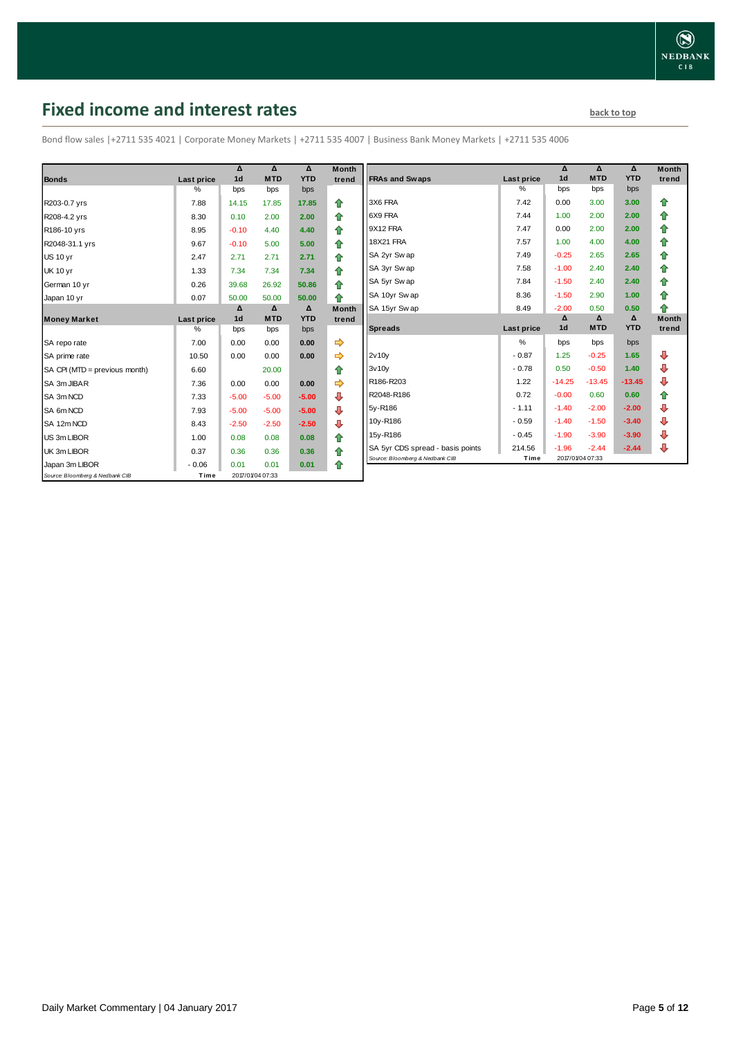# <span id="page-4-0"></span>**Fixed income and interest rates back to the line of the set of the set of the set of the set of the set of the set of the set of the set of the set of the set of the set of the set of the set of the set of the set of th**

Bond flow sales |+2711 535 4021 | Corporate Money Markets | +2711 535 4007 | Business Bank Money Markets | +2711 535 4006

|                                 |                 | Δ<br>1 <sub>d</sub> | Δ<br><b>MTD</b>  | Δ<br><b>YTD</b> | <b>Month</b> |
|---------------------------------|-----------------|---------------------|------------------|-----------------|--------------|
| <b>Bonds</b>                    | Last price<br>% | bps                 | bps              | bps             | trend        |
| R203-0.7 yrs                    | 7.88            | 14.15               | 17.85            | 17.85           | ⇑            |
|                                 |                 |                     |                  |                 |              |
| R208-4.2 yrs                    | 8.30            | 0.10                | 2.00             | 2.00            | 合            |
| R186-10 yrs                     | 8.95            | $-0.10$             | 4.40             | 4.40            | ⇮            |
| R2048-31.1 yrs                  | 9.67            | $-0.10$             | 5.00             | 5.00            | ⇮            |
| <b>US 10 yr</b>                 | 2.47            | 2.71                | 2.71             | 2.71            | 合            |
| <b>UK 10 yr</b>                 | 1.33            | 7.34                | 7.34             | 7.34            | ⇑            |
| German 10 yr                    | 0.26            | 39.68               | 26.92            | 50.86           | ⇑            |
| Japan 10 yr                     | 0.07            | 50.00               | 50.00            | 50.00           | ♠            |
|                                 |                 | Δ                   | Δ                | Δ               | <b>Month</b> |
| <b>Money Market</b>             | Last price      | 1 <sub>d</sub>      | <b>MTD</b>       | <b>YTD</b>      | trend        |
|                                 | $\%$            | bps                 | bps              | bps             |              |
| SA repo rate                    | 7.00            | 0.00                | 0.00             | 0.00            |              |
| SA prime rate                   | 10.50           | 0.00                | 0.00             | 0.00            | ⇨            |
| SA CPI (MTD = previous month)   | 6.60            |                     | 20.00            |                 | ⇑            |
| SA 3m JIBAR                     | 7.36            | 0.00                | 0.00             | 0.00            |              |
| SA 3m NCD                       | 7.33            | $-5.00$             | $-5.00$          | $-5.00$         | ⊕            |
| SA 6m NCD                       | 7.93            | $-5.00$             | $-5.00$          | $-5.00$         | ⊕            |
| SA 12m NCD                      | 8.43            | $-2.50$             | $-2.50$          | $-2.50$         | ⊕            |
| US 3m LIBOR                     | 1.00            | 0.08                | 0.08             | 0.08            | ⇑            |
| UK 3m LIBOR                     | 0.37            | 0.36                | 0.36             | 0.36            | 合            |
| Japan 3m LIBOR                  | $-0.06$         | 0.01                | 0.01             | 0.01            | ♠            |
| Source: Bloomberg & Nedbank CIB | Time            |                     | 2017/01/04 07:33 |                 |              |

|                                  |            | Δ              | Δ          | Δ          | <b>Month</b> |
|----------------------------------|------------|----------------|------------|------------|--------------|
| <b>FRAs and Swaps</b>            | Last price | 1 <sub>d</sub> | <b>MTD</b> | <b>YTD</b> | trend        |
|                                  | %          | bps            | bps        | bps        |              |
| 3X6 FRA                          | 7.42       | 0.00           | 3.00       | 3.00       | ⇑            |
| 6X9 FRA                          | 7.44       | 1.00           | 2.00       | 2.00       | ⇮            |
| 9X12 FRA                         | 7.47       | 0.00           | 2.00       | 2.00       | 合            |
| <b>18X21 FRA</b>                 | 7.57       | 1.00           | 4.00       | 4.00       | ✿            |
| SA 2yr Sw ap                     | 7.49       | $-0.25$        | 2.65       | 2.65       | 合            |
| SA 3yr Swap                      | 7.58       | $-1.00$        | 2.40       | 2.40       | 合            |
| SA 5yr Sw ap                     | 7.84       | $-1.50$        | 2.40       | 2.40       | ⇮            |
| SA 10yr Sw ap                    | 8.36       | $-1.50$        | 2.90       | 1.00       | 合            |
| SA 15yr Sw ap                    | 8.49       | $-2.00$        | 0.50       | 0.50       | ♠            |
|                                  |            | Δ              | Δ          | Δ          | <b>Month</b> |
| <b>Spreads</b>                   | Last price | 1 <sub>d</sub> | <b>MTD</b> | <b>YTD</b> | trend        |
|                                  | %          | bps            | bps        | bps        |              |
| 2v10v                            | $-0.87$    | 1.25           | $-0.25$    | 1.65       | ⊕            |
| 3v10v                            | $-0.78$    | 0.50           | $-0.50$    | 1.40       | ⊕            |
| R186-R203                        | 1.22       | $-14.25$       | $-13.45$   | $-13.45$   | ⊕            |
| R2048-R186                       | 0.72       | $-0.00$        | 0.60       | 0.60       | 合            |
|                                  |            |                |            |            |              |
| 5y-R186                          | $-1.11$    | $-1.40$        | $-2.00$    | $-2.00$    | ₽            |
| 10y-R186                         | $-0.59$    | $-1.40$        | $-1.50$    | $-3.40$    | ⊕            |
| 15y-R186                         | $-0.45$    | $-1.90$        | $-3.90$    | $-3.90$    | ⊕            |
| SA 5yr CDS spread - basis points | 214.56     | $-1.96$        | $-2.44$    | $-2.44$    | ⇩            |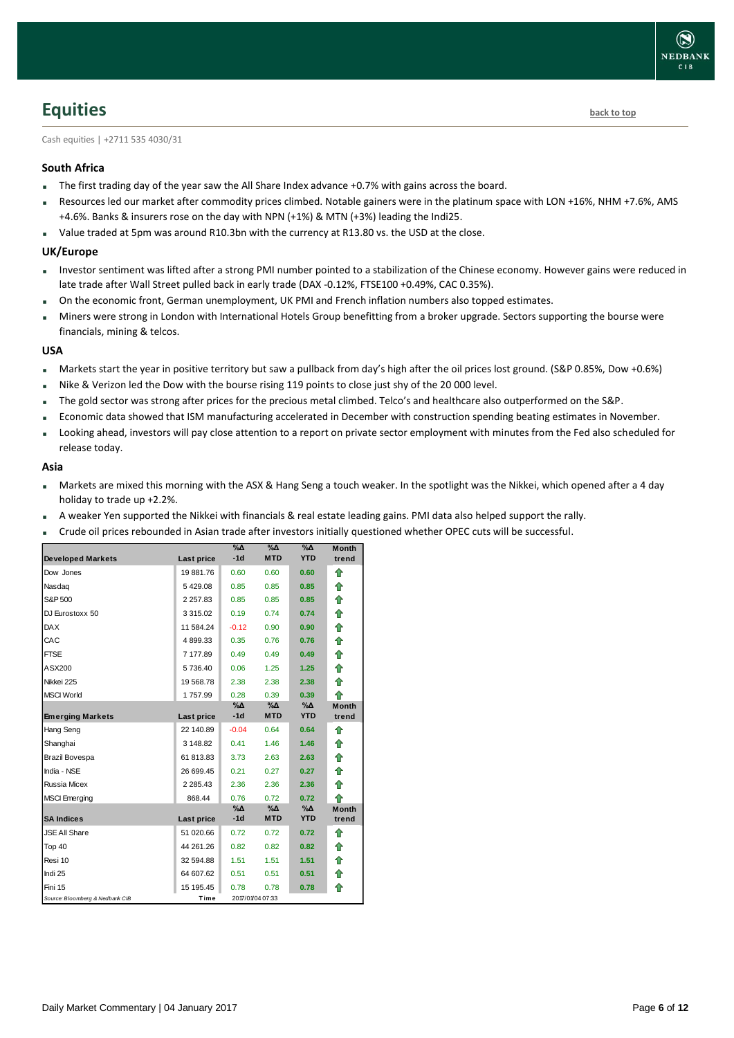### <span id="page-5-0"></span>**Equities [back to top](#page-0-0)**

Cash equities | +2711 535 4030/31

#### **South Africa**

- The first trading day of the year saw the All Share Index advance +0.7% with gains across the board.
- Resources led our market after commodity prices climbed. Notable gainers were in the platinum space with LON +16%, NHM +7.6%, AMS +4.6%. Banks & insurers rose on the day with NPN (+1%) & MTN (+3%) leading the Indi25.
- Value traded at 5pm was around R10.3bn with the currency at R13.80 vs. the USD at the close.

#### **UK/Europe**

- Investor sentiment was lifted after a strong PMI number pointed to a stabilization of the Chinese economy. However gains were reduced in late trade after Wall Street pulled back in early trade (DAX -0.12%, FTSE100 +0.49%, CAC 0.35%).
- On the economic front, German unemployment, UK PMI and French inflation numbers also topped estimates.
- Miners were strong in London with International Hotels Group benefitting from a broker upgrade. Sectors supporting the bourse were financials, mining & telcos.

#### **USA**

- Markets start the year in positive territory but saw a pullback from day's high after the oil prices lost ground. (S&P 0.85%, Dow +0.6%)
- Nike & Verizon led the Dow with the bourse rising 119 points to close just shy of the 20 000 level.
- The gold sector was strong after prices for the precious metal climbed. Telco's and healthcare also outperformed on the S&P.
- Economic data showed that ISM manufacturing accelerated in December with construction spending beating estimates in November.
- Looking ahead, investors will pay close attention to a report on private sector employment with minutes from the Fed also scheduled for release today.

#### **Asia**

- Markets are mixed this morning with the ASX & Hang Seng a touch weaker. In the spotlight was the Nikkei, which opened after a 4 day holiday to trade up +2.2%.
- A weaker Yen supported the Nikkei with financials & real estate leading gains. PMI data also helped support the rally.
- Crude oil prices rebounded in Asian trade after investors initially questioned whether OPEC cuts will be successful.

|                                 |               | $\% \Delta$ | %Δ               | $\% \Delta$ | <b>Month</b> |
|---------------------------------|---------------|-------------|------------------|-------------|--------------|
| <b>Developed Markets</b>        | Last price    | $-1d$       | <b>MTD</b>       | <b>YTD</b>  | trend        |
| Dow Jones                       | 19 881.76     | 0.60        | 0.60             | 0.60        | ⇑            |
| Nasdag                          | 5429.08       | 0.85        | 0.85             | 0.85        | ⇮            |
| S&P 500                         | 2 2 5 7 . 8 3 | 0.85        | 0.85             | 0.85        | 合            |
| DJ Eurostoxx 50                 | 3 3 1 5 . 0 2 | 0.19        | 0.74             | 0.74        | ⇑            |
| <b>DAX</b>                      | 11 584.24     | $-0.12$     | 0.90             | 0.90        | 合            |
| CAC                             | 4899.33       | 0.35        | 0.76             | 0.76        | ⇑            |
| <b>FTSE</b>                     | 7 177.89      | 0.49        | 0.49             | 0.49        | 合            |
| ASX200                          | 5736.40       | 0.06        | 1.25             | 1.25        | ⇑            |
| Nikkei 225                      | 19 568.78     | 2.38        | 2.38             | 2.38        | 合            |
| <b>MSCI World</b>               | 1757.99       | 0.28        | 0.39             | 0.39        | ♠            |
|                                 |               | %Δ          | %Δ               | %Δ          | <b>Month</b> |
| <b>Emerging Markets</b>         | Last price    | $-1d$       | <b>MTD</b>       | <b>YTD</b>  | trend        |
| Hang Seng                       | 22 140.89     | $-0.04$     | 0.64             | 0.64        | ⇑            |
| Shanghai                        | 3 148.82      | 0.41        | 1.46             | 1.46        | ✿            |
| Brazil Bovespa                  | 61 813.83     | 3.73        | 2.63             | 2.63        | ⇑            |
| India - NSE                     | 26 699.45     | 0.21        | 0.27             | 0.27        | 合            |
| Russia Micex                    | 2 2 8 5 . 4 3 | 2.36        | 2.36             | 2.36        | ⇑            |
| <b>MSCI</b> Emerging            | 868.44        | 0.76        | 0.72             | 0.72        | 全            |
|                                 |               | $\% \Delta$ | %Δ               | %Δ          | <b>Month</b> |
| <b>SA Indices</b>               | Last price    | $-1d$       | <b>MTD</b>       | <b>YTD</b>  | trend        |
| <b>JSE All Share</b>            | 51 020.66     | 0.72        | 0.72             | 0.72        | ⇑            |
| Top 40                          | 44 261.26     | 0.82        | 0.82             | 0.82        | ⇑            |
| Resi 10                         | 32 594.88     | 1.51        | 1.51             | 1.51        | ⇑            |
| Indi 25                         | 64 607.62     | 0.51        | 0.51             | 0.51        | ⇑            |
| Fini 15                         | 15 195.45     | 0.78        | 0.78             | 0.78        | ⇑            |
| Source: Bloomberg & Nedbank CIB | Time          |             | 2017/01/04 07:33 |             |              |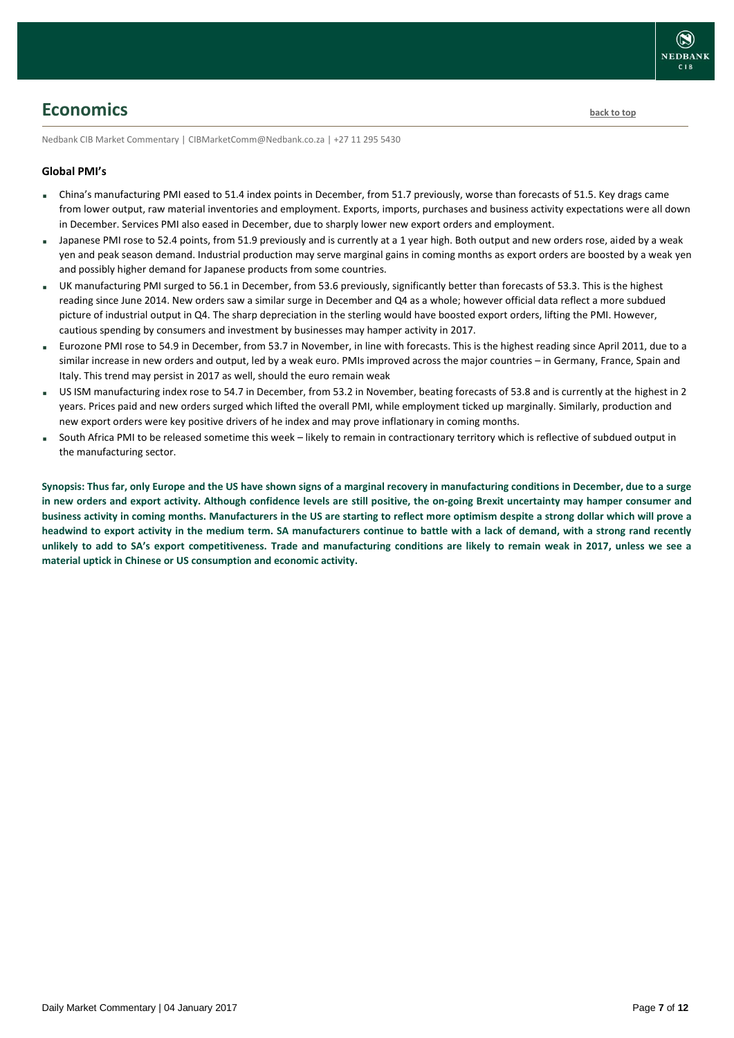<span id="page-6-0"></span>**Economics [back to top](#page-0-0)** 

Nedbank CIB Market Commentary | CIBMarketComm@Nedbank.co.za | +27 11 295 5430

#### **Global PMI's**

- China's manufacturing PMI eased to 51.4 index points in December, from 51.7 previously, worse than forecasts of 51.5. Key drags came from lower output, raw material inventories and employment. Exports, imports, purchases and business activity expectations were all down in December. Services PMI also eased in December, due to sharply lower new export orders and employment.
- Japanese PMI rose to 52.4 points, from 51.9 previously and is currently at a 1 year high. Both output and new orders rose, aided by a weak yen and peak season demand. Industrial production may serve marginal gains in coming months as export orders are boosted by a weak yen and possibly higher demand for Japanese products from some countries.
- UK manufacturing PMI surged to 56.1 in December, from 53.6 previously, significantly better than forecasts of 53.3. This is the highest reading since June 2014. New orders saw a similar surge in December and Q4 as a whole; however official data reflect a more subdued picture of industrial output in Q4. The sharp depreciation in the sterling would have boosted export orders, lifting the PMI. However, cautious spending by consumers and investment by businesses may hamper activity in 2017.
- Eurozone PMI rose to 54.9 in December, from 53.7 in November, in line with forecasts. This is the highest reading since April 2011, due to a similar increase in new orders and output, led by a weak euro. PMIs improved across the major countries – in Germany, France, Spain and Italy. This trend may persist in 2017 as well, should the euro remain weak
- US ISM manufacturing index rose to 54.7 in December, from 53.2 in November, beating forecasts of 53.8 and is currently at the highest in 2 years. Prices paid and new orders surged which lifted the overall PMI, while employment ticked up marginally. Similarly, production and new export orders were key positive drivers of he index and may prove inflationary in coming months.
- South Africa PMI to be released sometime this week likely to remain in contractionary territory which is reflective of subdued output in the manufacturing sector.

**Synopsis: Thus far, only Europe and the US have shown signs of a marginal recovery in manufacturing conditions in December, due to a surge in new orders and export activity. Although confidence levels are still positive, the on-going Brexit uncertainty may hamper consumer and business activity in coming months. Manufacturers in the US are starting to reflect more optimism despite a strong dollar which will prove a headwind to export activity in the medium term. SA manufacturers continue to battle with a lack of demand, with a strong rand recently unlikely to add to SA's export competitiveness. Trade and manufacturing conditions are likely to remain weak in 2017, unless we see a material uptick in Chinese or US consumption and economic activity.**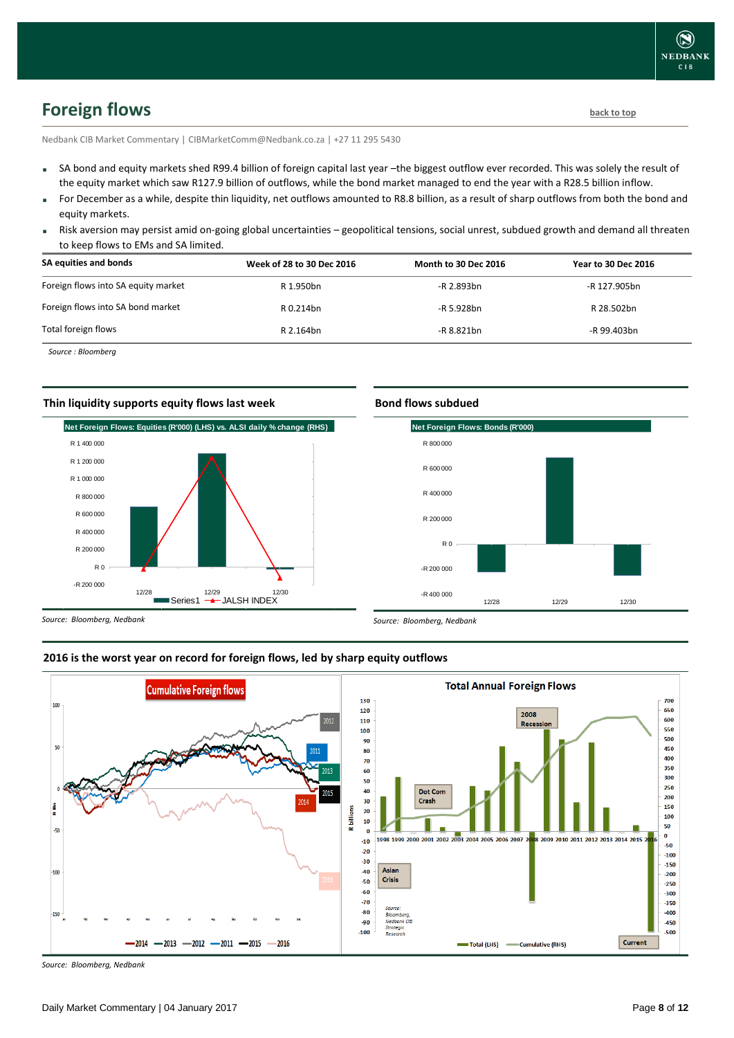# <span id="page-7-0"></span>**Foreign flows [back to top](#page-0-0)**

Nedbank CIB Market Commentary | CIBMarketComm@Nedbank.co.za | +27 11 295 5430

- SA bond and equity markets shed R99.4 billion of foreign capital last year –the biggest outflow ever recorded. This was solely the result of the equity market which saw R127.9 billion of outflows, while the bond market managed to end the year with a R28.5 billion inflow.
- For December as a while, despite thin liquidity, net outflows amounted to R8.8 billion, as a result of sharp outflows from both the bond and equity markets.
- Risk aversion may persist amid on-going global uncertainties geopolitical tensions, social unrest, subdued growth and demand all threaten to keep flows to EMs and SA limited.

| SA equities and bonds               | Week of 28 to 30 Dec 2016 | <b>Month to 30 Dec 2016</b> | <b>Year to 30 Dec 2016</b> |
|-------------------------------------|---------------------------|-----------------------------|----------------------------|
| Foreign flows into SA equity market | R 1.950bn                 | -R 2.893bn                  | -R 127.905bn               |
| Foreign flows into SA bond market   | R 0.214bn                 | -R 5.928bn                  | R 28.502bn                 |
| Total foreign flows                 | R 2.164bn                 | -R 8.821bn                  | -R 99.403bn                |

*Source : Bloomberg*

#### **Thin liquidity supports equity flows last week**



### **Bond flows subdued**



*Source: Bloomberg, Nedbank*

#### **2016 is the worst year on record for foreign flows, led by sharp equity outflows**

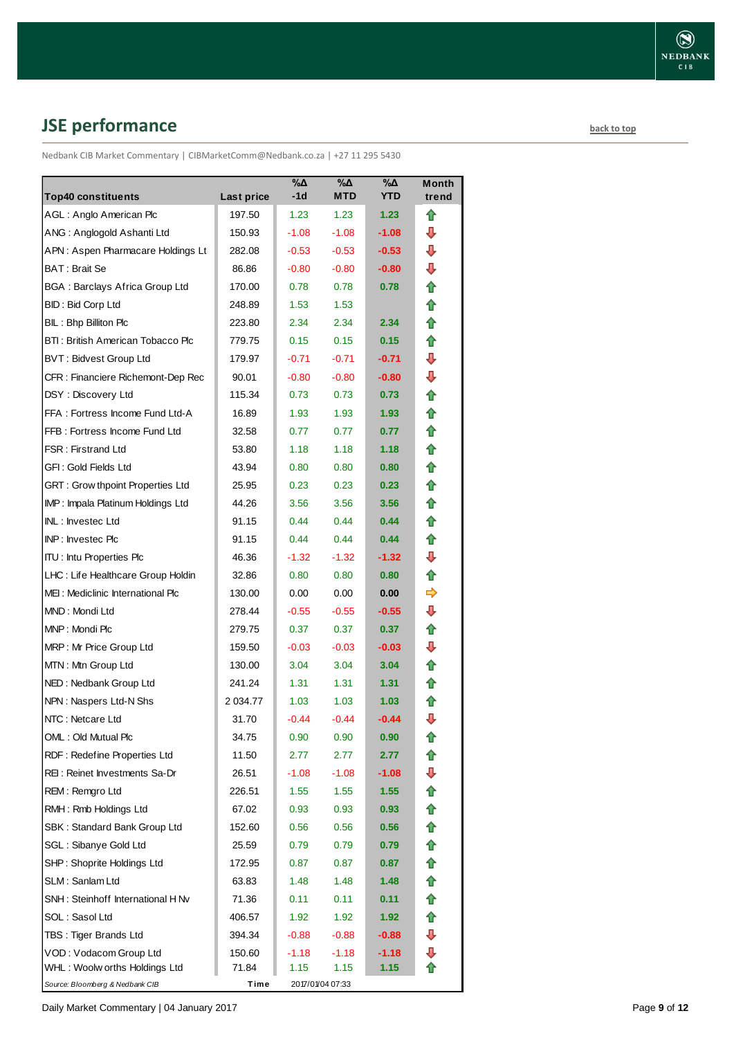# <span id="page-8-0"></span>**JSE performance [back to top](#page-0-0) back to top**

Nedbank CIB Market Commentary | CIBMarketComm@Nedbank.co.za | +27 11 295 5430

|                                         |            | $\sqrt{20}$ | $\overline{\mathsf{A}}$ | $\sqrt{20}$       | <b>Month</b> |
|-----------------------------------------|------------|-------------|-------------------------|-------------------|--------------|
| <b>Top40 constituents</b>               | Last price | $-1d$       | <b>MTD</b>              | <b>YTD</b>        | trend        |
| AGL: Anglo American Plc                 | 197.50     | 1.23        | 1.23                    | 1.23              | ✿            |
| ANG: Anglogold Ashanti Ltd              | 150.93     | $-1.08$     | $-1.08$                 | $-1.08$           | ⊕            |
| APN: Aspen Pharmacare Holdings Lt       | 282.08     | $-0.53$     | $-0.53$                 | $-0.53$           | ⊕            |
| BAT: Brait Se                           | 86.86      | $-0.80$     | $-0.80$                 | $-0.80$           | ⊕            |
| <b>BGA: Barclays Africa Group Ltd</b>   | 170.00     | 0.78        | 0.78                    | 0.78              | 合            |
| BID: Bid Corp Ltd                       | 248.89     | 1.53        | 1.53                    |                   | ⇮            |
| BIL: Bhp Billiton Plc                   | 223.80     | 2.34        | 2.34                    | 2.34              | ✿            |
| BTI: British American Tobacco Plc       | 779.75     | 0.15        | 0.15                    | 0.15              | ⇑            |
| <b>BVT: Bidvest Group Ltd</b>           | 179.97     | $-0.71$     | $-0.71$                 | $-0.71$           | ⊕            |
| CFR: Financiere Richemont-Dep Rec       | 90.01      | $-0.80$     | $-0.80$                 | $-0.80$           | ⊕            |
| DSY: Discovery Ltd                      | 115.34     | 0.73        | 0.73                    | 0.73              | ⇑            |
| FFA: Fortress Income Fund Ltd-A         | 16.89      | 1.93        | 1.93                    | 1.93              | 合            |
| FFB: Fortress Income Fund Ltd           | 32.58      | 0.77        | 0.77                    | 0.77              | 合            |
| <b>FSR: Firstrand Ltd</b>               | 53.80      | 1.18        | 1.18                    | 1.18              | ⇑            |
| GFI: Gold Fields Ltd                    | 43.94      | 0.80        | 0.80                    | 0.80              | 合            |
| <b>GRT: Grow thpoint Properties Ltd</b> | 25.95      | 0.23        | 0.23                    | 0.23              | ✿            |
| IMP: Impala Platinum Holdings Ltd       | 44.26      | 3.56        | 3.56                    | 3.56              | ✿            |
| INL: Investec Ltd                       | 91.15      | 0.44        | 0.44                    | 0.44              | ✿            |
| INP: Investec Plc                       | 91.15      | 0.44        | 0.44                    | 0.44              | 合            |
| <b>ITU: Intu Properties Plc</b>         | 46.36      | $-1.32$     | $-1.32$                 | $-1.32$           | ⊕            |
| LHC: Life Healthcare Group Holdin       | 32.86      | 0.80        | 0.80                    | 0.80              | ⇑            |
| MEI: Mediclinic International Plc       | 130.00     | 0.00        | 0.00                    | 0.00              | ⇛            |
| MND: Mondi Ltd                          | 278.44     | $-0.55$     | $-0.55$                 | $-0.55$           | ⊕            |
| MNP: Mondi Plc                          | 279.75     | 0.37        | 0.37                    | 0.37              | 合            |
| MRP: Mr Price Group Ltd                 | 159.50     | $-0.03$     | $-0.03$                 | $-0.03$           | ⊕            |
| MTN: Mtn Group Ltd                      | 130.00     | 3.04        | 3.04                    | 3.04              | ✿            |
| NED: Nedbank Group Ltd                  | 241.24     | 1.31        | 1.31                    | 1.31              | ✿            |
| NPN: Naspers Ltd-N Shs                  | 2 0 34.77  | 1.03        | 1.03                    | 1.03              | ⇑            |
| NTC: Netcare Ltd                        | 31.70      | $-0.44$     | $-0.44$                 | $-0.44$           | ⇩            |
| OML: Old Mutual Plc                     | 34.75      | 0.90        | 0.90                    | 0.90              | €            |
| RDF: Redefine Properties Ltd            | 11.50      | 2.77        | 2.77                    | 2.77              | ✿            |
| REI: Reinet Investments Sa-Dr           | 26.51      | -1.08       | $-1.08$                 | $-1.08$           | ⇩            |
| REM: Remgro Ltd                         | 226.51     | 1.55        | 1.55                    | 1.55              | ⇑            |
| RMH: Rmb Holdings Ltd                   | 67.02      | 0.93        | 0.93                    | 0.93 <sub>1</sub> | ⇮            |
| SBK: Standard Bank Group Ltd            | 152.60     | 0.56        | 0.56                    | 0.56              | 合            |
| SGL : Sibanye Gold Ltd                  | 25.59      | 0.79        | 0.79                    | 0.79              | ✿            |
| SHP: Shoprite Holdings Ltd              | 172.95     | 0.87        | 0.87                    | 0.87              | ✿            |
| SLM: Sanlam Ltd                         | 63.83      | 1.48        | 1.48                    | 1.48              | ✿            |
| SNH: Steinhoff International H Nv       | 71.36      | 0.11        | 0.11                    | 0.11              | ⇑            |
| SOL : Sasol Ltd                         | 406.57     | 1.92        | 1.92                    | 1.92              | ✿            |
| TBS: Tiger Brands Ltd                   | 394.34     | $-0.88$     | $-0.88$                 | $-0.88$           | ⇩            |
| VOD: Vodacom Group Ltd                  | 150.60     | $-1.18$     | $-1.18$                 | $-1.18$           | ⇩            |
| WHL: Woolw orths Holdings Ltd           | 71.84      | 1.15        | 1.15                    | 1.15              |              |
| Source: Bloomberg & Nedbank CIB         | Time       |             | 2017/01/04 07:33        |                   |              |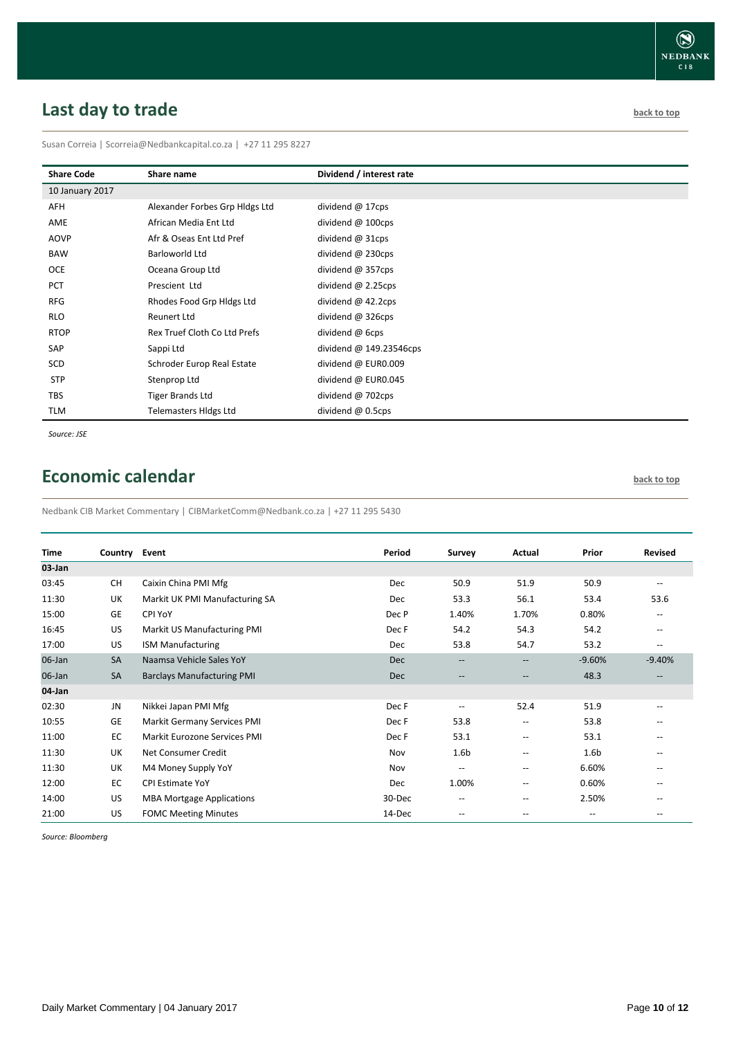# <span id="page-9-0"></span>**Last day to trade back to the contract of the contract of the contract of the contract of the contract of the contract of the contract of the contract of the contract of the contract of the contract of the contract of t**

Susan Correia | [Scorreia@Nedbankcapital.co.za](mailto:Scorreia@Nedbankcapital.co.za) | +27 11 295 8227

| <b>Share Code</b> | Share name                     | Dividend / interest rate |
|-------------------|--------------------------------|--------------------------|
| 10 January 2017   |                                |                          |
| AFH               | Alexander Forbes Grp Hldgs Ltd | dividend $@$ 17cps       |
| AME               | African Media Ent Ltd          | dividend $@$ 100cps      |
| AOVP              | Afr & Oseas Ent Ltd Pref       | dividend $@31cps$        |
| <b>BAW</b>        | Barloworld Ltd                 | dividend $@$ 230cps      |
| <b>OCE</b>        | Oceana Group Ltd               | dividend $@$ 357cps      |
| <b>PCT</b>        | Prescient Ltd                  | dividend $@$ 2.25cps     |
| <b>RFG</b>        | Rhodes Food Grp Hldgs Ltd      | dividend $@$ 42.2cps     |
| <b>RLO</b>        | <b>Reunert Ltd</b>             | dividend $@326$ cps      |
| <b>RTOP</b>       | Rex Truef Cloth Co Ltd Prefs   | dividend @ 6cps          |
| SAP               | Sappi Ltd                      | dividend @ 149.23546cps  |
| SCD               | Schroder Europ Real Estate     | dividend @ EUR0.009      |
| <b>STP</b>        | Stenprop Ltd                   | dividend @ EUR0.045      |
| <b>TBS</b>        | <b>Tiger Brands Ltd</b>        | dividend @ 702cps        |
| TLM               | <b>Telemasters Hidgs Ltd</b>   | dividend $@$ 0.5cps      |

*Source: JSE*

# <span id="page-9-1"></span>**Economic calendar [back to top](#page-0-0) back to top**

Nedbank CIB Market Commentary | CIBMarketComm@Nedbank.co.za | +27 11 295 5430

| <b>Time</b> | Country   | Event                              | Period     | Survey                                              | Actual                   | Prior                    | Revised                  |
|-------------|-----------|------------------------------------|------------|-----------------------------------------------------|--------------------------|--------------------------|--------------------------|
| 03-Jan      |           |                                    |            |                                                     |                          |                          |                          |
| 03:45       | <b>CH</b> | Caixin China PMI Mfg               | <b>Dec</b> | 50.9                                                | 51.9                     | 50.9                     | $\overline{\phantom{a}}$ |
| 11:30       | UK        | Markit UK PMI Manufacturing SA     | Dec        | 53.3                                                | 56.1                     | 53.4                     | 53.6                     |
| 15:00       | <b>GE</b> | CPI YoY                            | Dec P      | 1.40%                                               | 1.70%                    | 0.80%                    | $\overline{\phantom{a}}$ |
| 16:45       | US        | Markit US Manufacturing PMI        | Dec F      | 54.2                                                | 54.3                     | 54.2                     | --                       |
| 17:00       | US        | <b>ISM Manufacturing</b>           | Dec        | 53.8                                                | 54.7                     | 53.2                     | $\overline{\phantom{a}}$ |
| 06-Jan      | <b>SA</b> | Naamsa Vehicle Sales YoY           | <b>Dec</b> | $\hspace{0.05cm} -\hspace{0.05cm} -\hspace{0.05cm}$ | $\overline{\phantom{a}}$ | $-9.60%$                 | $-9.40%$                 |
| 06-Jan      | <b>SA</b> | <b>Barclays Manufacturing PMI</b>  | <b>Dec</b> | $\hspace{0.05cm} \ldots$                            | $-\!$                    | 48.3                     | --                       |
| 04-Jan      |           |                                    |            |                                                     |                          |                          |                          |
| 02:30       | JN        | Nikkei Japan PMI Mfg               | Dec F      | $\overline{\phantom{a}}$                            | 52.4                     | 51.9                     | $-$                      |
| 10:55       | GE        | <b>Markit Germany Services PMI</b> | Dec F      | 53.8                                                | $\overline{\phantom{m}}$ | 53.8                     |                          |
| 11:00       | EC        | Markit Eurozone Services PMI       | Dec F      | 53.1                                                | --                       | 53.1                     |                          |
| 11:30       | UK        | Net Consumer Credit                | Nov        | 1.6 <sub>b</sub>                                    | $-$                      | 1.6 <sub>b</sub>         |                          |
| 11:30       | UK        | M4 Money Supply YoY                | Nov        | $\overline{\phantom{a}}$                            | $\overline{\phantom{a}}$ | 6.60%                    | --                       |
| 12:00       | EC        | <b>CPI Estimate YoY</b>            | Dec        | 1.00%                                               | $\overline{\phantom{a}}$ | 0.60%                    |                          |
| 14:00       | US        | <b>MBA Mortgage Applications</b>   | 30-Dec     | $\hspace{0.05cm}$ – $\hspace{0.05cm}$               | $-$                      | 2.50%                    |                          |
| 21:00       | US        | <b>FOMC Meeting Minutes</b>        | 14-Dec     | $-$                                                 | $-$                      | $\overline{\phantom{a}}$ | $- -$                    |

*Source: Bloomberg*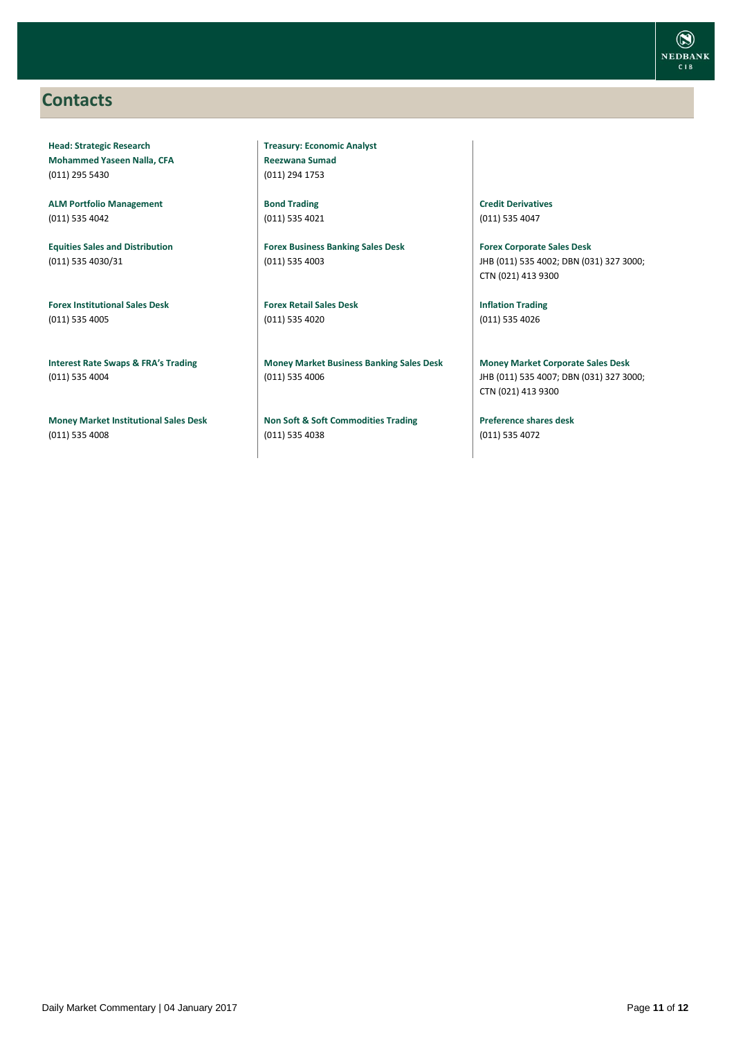### <span id="page-10-0"></span>**Contacts**

**Head: Strategic Research Mohammed Yaseen Nalla, CFA** (011) 295 5430

**ALM Portfolio Management** (011) 535 4042

**Equities Sales and Distribution** (011) 535 4030/31

**Forex Institutional Sales Desk** (011) 535 4005

**Interest Rate Swaps & FRA's Trading** (011) 535 4004

**Money Market Institutional Sales Desk** (011) 535 4008

**Treasury: Economic Analyst Reezwana Sumad** (011) 294 1753

**Bond Trading** (011) 535 4021

**Forex Business Banking Sales Desk** (011) 535 4003

**Forex Retail Sales Desk** (011) 535 4020

**Money Market Business Banking Sales Desk** (011) 535 4006

**Non Soft & Soft Commodities Trading** (011) 535 4038

**Credit Derivatives**  (011) 535 4047

**Forex Corporate Sales Desk** JHB (011) 535 4002; DBN (031) 327 3000; CTN (021) 413 9300

**Inflation Trading** (011) 535 4026

**Money Market Corporate Sales Desk** JHB (011) 535 4007; DBN (031) 327 3000; CTN (021) 413 9300

**Preference shares desk** (011) 535 4072